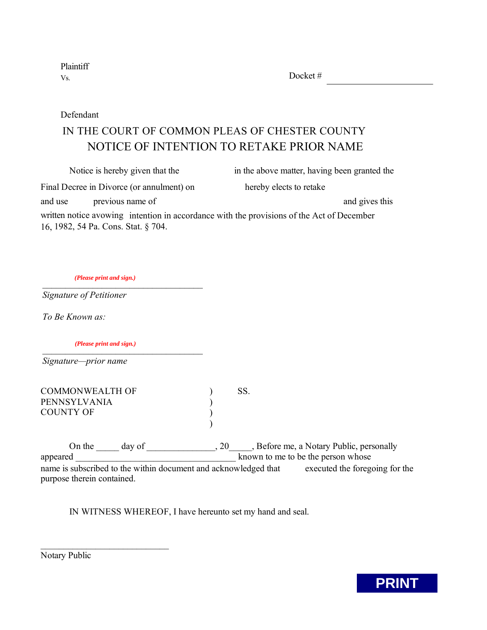Plaintiff Vs.

Docket #

Defendant

# NOTICE OF INTENTION TO RETAKE PRIOR NAME IN THE COURT OF COMMON PLEAS OF CHESTER COUNTY

| Notice is hereby given that the                                                           | in the above matter, having been granted the |
|-------------------------------------------------------------------------------------------|----------------------------------------------|
| Final Decree in Divorce (or annulment) on                                                 | hereby elects to retake                      |
| previous name of<br>and use                                                               | and gives this                               |
| written notice avowing intention in accordance with the provisions of the Act of December |                                              |
| 16, 1982, 54 Pa. Cons. Stat. § 704.                                                       |                                              |

*\_\_\_\_\_\_\_\_\_\_\_\_\_\_\_\_\_\_\_\_\_\_\_\_\_\_\_\_\_\_\_\_\_\_\_ (Please print and sign.)*

*Signature of Petitioner*

*To Be Known as:*

 $\frac{1}{2}$ *(Please print and sign.)*

 $\mathcal{L}_\text{max}$ 

*Signature—prior name*

| COMMONWEALTH OF | SS. |
|-----------------|-----|
| PENNSYLVANIA    |     |
| COUNTY OF       |     |
|                 |     |

On the day of 3.1 and 1.20 All ends of the day of 20 All ends of the Before me, a Notary Public, personally appeared **a** appeared **a a a e e h e h e h e h e h e h e h e h e h e h e h e h e h e h e h e h e h e h e h e h e h e h e h** name is subscribed to the within document and acknowledged that executed the foregoing for the purpose therein contained.

IN WITNESS WHEREOF, I have hereunto set my hand and seal.

Notary Public